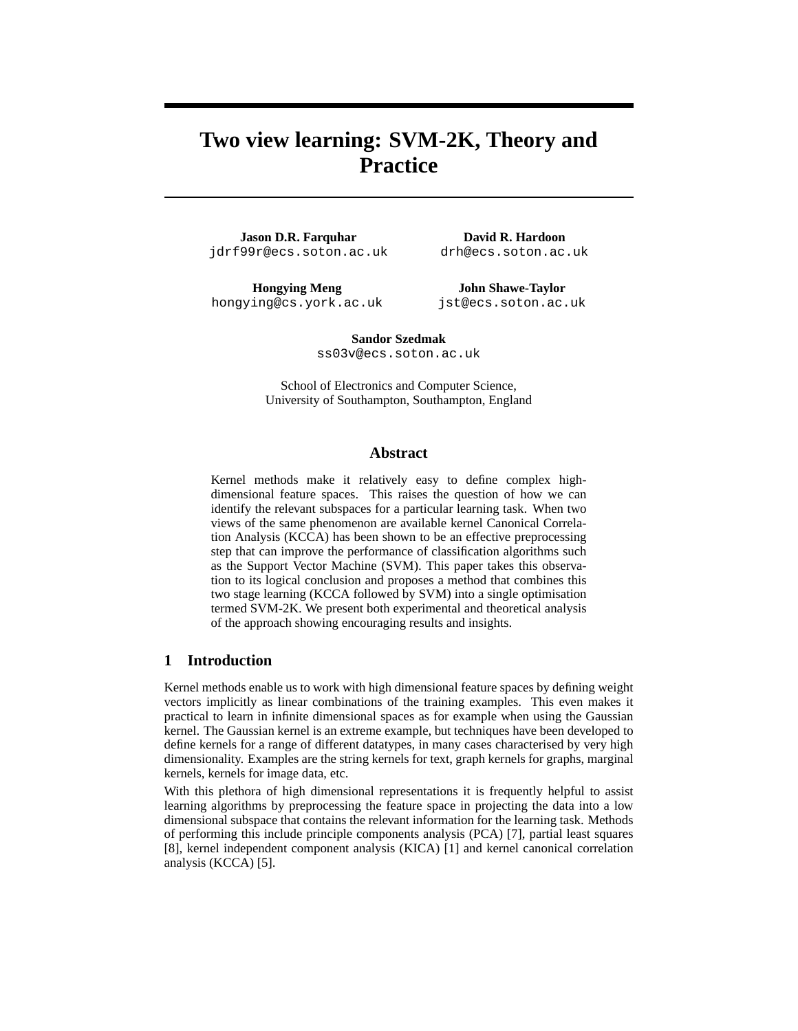# **Two view learning: SVM-2K, Theory and Practice**

**Jason D.R. Farquhar** jdrf99r@ecs.soton.ac.uk

**David R. Hardoon** drh@ecs.soton.ac.uk

**Hongying Meng** hongying@cs.york.ac.uk

**John Shawe-Taylor** jst@ecs.soton.ac.uk

**Sandor Szedmak** ss03v@ecs.soton.ac.uk

School of Electronics and Computer Science, University of Southampton, Southampton, England

# **Abstract**

Kernel methods make it relatively easy to define complex highdimensional feature spaces. This raises the question of how we can identify the relevant subspaces for a particular learning task. When two views of the same phenomenon are available kernel Canonical Correlation Analysis (KCCA) has been shown to be an effective preprocessing step that can improve the performance of classification algorithms such as the Support Vector Machine (SVM). This paper takes this observation to its logical conclusion and proposes a method that combines this two stage learning (KCCA followed by SVM) into a single optimisation termed SVM-2K. We present both experimental and theoretical analysis of the approach showing encouraging results and insights.

# **1 Introduction**

Kernel methods enable us to work with high dimensional feature spaces by defining weight vectors implicitly as linear combinations of the training examples. This even makes it practical to learn in infinite dimensional spaces as for example when using the Gaussian kernel. The Gaussian kernel is an extreme example, but techniques have been developed to define kernels for a range of different datatypes, in many cases characterised by very high dimensionality. Examples are the string kernels for text, graph kernels for graphs, marginal kernels, kernels for image data, etc.

With this plethora of high dimensional representations it is frequently helpful to assist learning algorithms by preprocessing the feature space in projecting the data into a low dimensional subspace that contains the relevant information for the learning task. Methods of performing this include principle components analysis (PCA) [7], partial least squares [8], kernel independent component analysis (KICA) [1] and kernel canonical correlation analysis (KCCA) [5].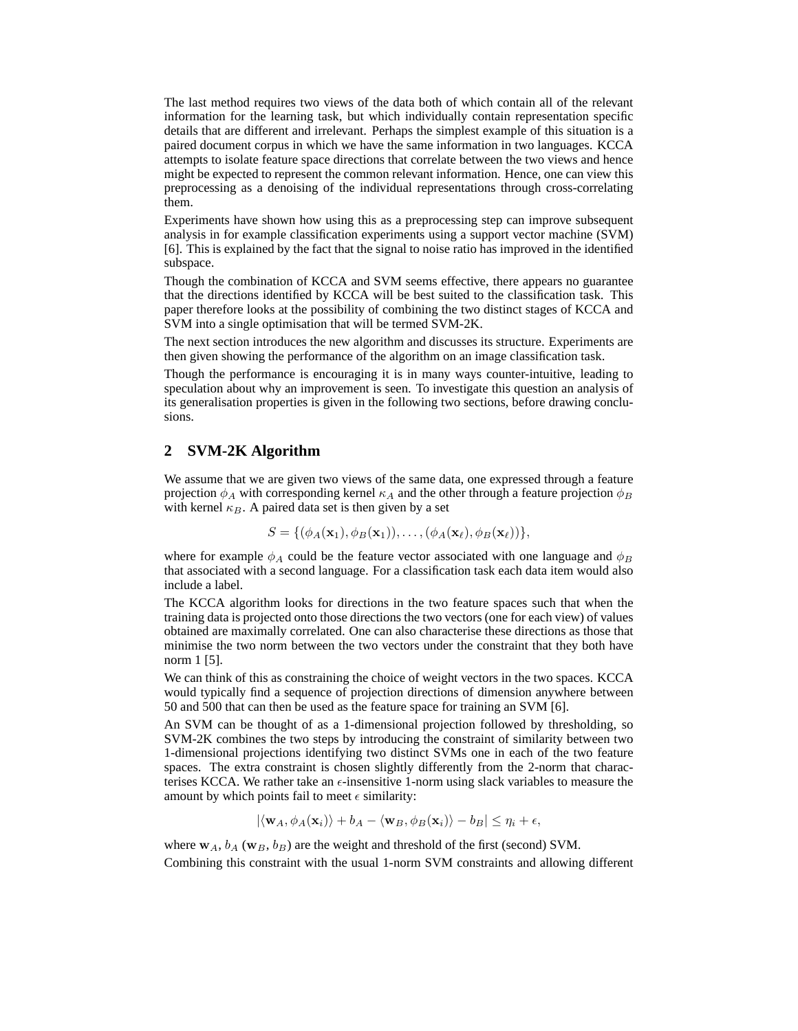The last method requires two views of the data both of which contain all of the relevant information for the learning task, but which individually contain representation specific details that are different and irrelevant. Perhaps the simplest example of this situation is a paired document corpus in which we have the same information in two languages. KCCA attempts to isolate feature space directions that correlate between the two views and hence might be expected to represent the common relevant information. Hence, one can view this preprocessing as a denoising of the individual representations through cross-correlating them.

Experiments have shown how using this as a preprocessing step can improve subsequent analysis in for example classification experiments using a support vector machine (SVM) [6]. This is explained by the fact that the signal to noise ratio has improved in the identified subspace.

Though the combination of KCCA and SVM seems effective, there appears no guarantee that the directions identified by KCCA will be best suited to the classification task. This paper therefore looks at the possibility of combining the two distinct stages of KCCA and SVM into a single optimisation that will be termed SVM-2K.

The next section introduces the new algorithm and discusses its structure. Experiments are then given showing the performance of the algorithm on an image classification task.

Though the performance is encouraging it is in many ways counter-intuitive, leading to speculation about why an improvement is seen. To investigate this question an analysis of its generalisation properties is given in the following two sections, before drawing conclusions.

# **2 SVM-2K Algorithm**

We assume that we are given two views of the same data, one expressed through a feature projection  $\phi_A$  with corresponding kernel  $\kappa_A$  and the other through a feature projection  $\phi_B$ with kernel  $\kappa_B$ . A paired data set is then given by a set

$$
S = \{(\phi_A(\mathbf{x}_1), \phi_B(\mathbf{x}_1)), \ldots, (\phi_A(\mathbf{x}_\ell), \phi_B(\mathbf{x}_\ell))\},\
$$

where for example  $\phi_A$  could be the feature vector associated with one language and  $\phi_B$ that associated with a second language. For a classification task each data item would also include a label.

The KCCA algorithm looks for directions in the two feature spaces such that when the training data is projected onto those directions the two vectors (one for each view) of values obtained are maximally correlated. One can also characterise these directions as those that minimise the two norm between the two vectors under the constraint that they both have norm 1 [5].

We can think of this as constraining the choice of weight vectors in the two spaces. KCCA would typically find a sequence of projection directions of dimension anywhere between 50 and 500 that can then be used as the feature space for training an SVM [6].

An SVM can be thought of as a 1-dimensional projection followed by thresholding, so SVM-2K combines the two steps by introducing the constraint of similarity between two 1-dimensional projections identifying two distinct SVMs one in each of the two feature spaces. The extra constraint is chosen slightly differently from the 2-norm that characterises KCCA. We rather take an  $\epsilon$ -insensitive 1-norm using slack variables to measure the amount by which points fail to meet  $\epsilon$  similarity:

$$
|\langle \mathbf{w}_A, \phi_A(\mathbf{x}_i) \rangle + b_A - \langle \mathbf{w}_B, \phi_B(\mathbf{x}_i) \rangle - b_B| \le \eta_i + \epsilon,
$$

where  $w_A$ ,  $b_A$  ( $w_B$ ,  $b_B$ ) are the weight and threshold of the first (second) SVM. Combining this constraint with the usual 1-norm SVM constraints and allowing different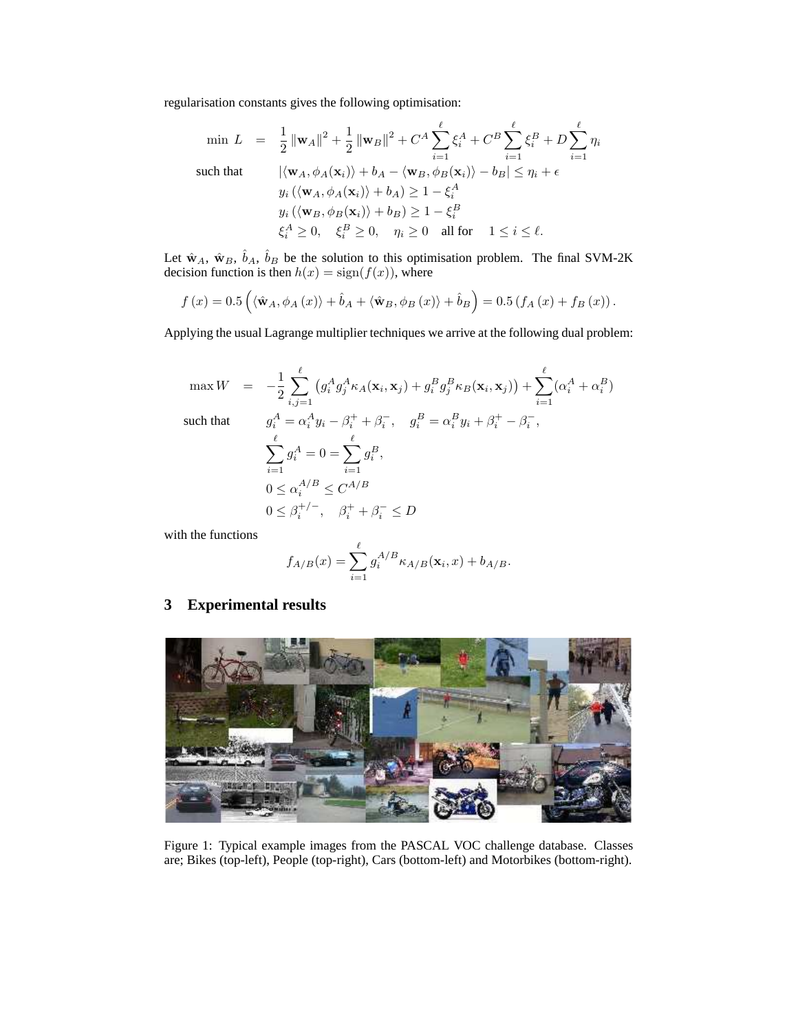regularisation constants gives the following optimisation:

$$
\begin{array}{rcl}\n\min L & = & \frac{1}{2} \left\| \mathbf{w}_A \right\|^2 + \frac{1}{2} \left\| \mathbf{w}_B \right\|^2 + C^A \sum_{i=1}^\ell \xi_i^A + C^B \sum_{i=1}^\ell \xi_i^B + D \sum_{i=1}^\ell \eta_i \\
\text{such that} & \left| \langle \mathbf{w}_A, \phi_A(\mathbf{x}_i) \rangle + b_A - \langle \mathbf{w}_B, \phi_B(\mathbf{x}_i) \rangle - b_B \right| \le \eta_i + \epsilon \\
& & y_i \left( \langle \mathbf{w}_A, \phi_A(\mathbf{x}_i) \rangle + b_A \right) \ge 1 - \xi_i^A \\
& & y_i \left( \langle \mathbf{w}_B, \phi_B(\mathbf{x}_i) \rangle + b_B \right) \ge 1 - \xi_i^B \\
& & \xi_i^A \ge 0, \quad \xi_i^B \ge 0, \quad \eta_i \ge 0 \quad \text{all for} \quad 1 \le i \le \ell.\n\end{array}
$$

Let  $\hat{w}_A$ ,  $\hat{w}_B$ ,  $\hat{b}_A$ ,  $\hat{b}_B$  be the solution to this optimisation problem. The final SVM-2K decision function is then  $h(x) = sign(f(x))$ , where

$$
f(x) = 0.5 \left( \langle \hat{\mathbf{w}}_A, \phi_A(x) \rangle + \hat{b}_A + \langle \hat{\mathbf{w}}_B, \phi_B(x) \rangle + \hat{b}_B \right) = 0.5 \left( f_A(x) + f_B(x) \right).
$$

Applying the usual Lagrange multiplier techniques we arrive at the following dual problem:

$$
\max W = -\frac{1}{2} \sum_{i,j=1}^{\ell} \left( g_i^A g_j^A \kappa_A(\mathbf{x}_i, \mathbf{x}_j) + g_i^B g_j^B \kappa_B(\mathbf{x}_i, \mathbf{x}_j) \right) + \sum_{i=1}^{\ell} (\alpha_i^A + \alpha_i^B)
$$
  
\nsuch that  
\n
$$
g_i^A = \alpha_i^A y_i - \beta_i^+ + \beta_i^-, \quad g_i^B = \alpha_i^B y_i + \beta_i^+ - \beta_i^-,
$$
  
\n
$$
\sum_{i=1}^{\ell} g_i^A = 0 = \sum_{i=1}^{\ell} g_i^B,
$$
  
\n
$$
0 \le \alpha_i^{A/B} \le C^{A/B}
$$
  
\n
$$
0 \le \beta_i^{+/-}, \quad \beta_i^+ + \beta_i^- \le D
$$

with the functions

$$
f_{A/B}(x) = \sum_{i=1}^{\ell} g_i^{A/B} \kappa_{A/B}(\mathbf{x}_i, x) + b_{A/B}.
$$

# **3 Experimental results**



Figure 1: Typical example images from the PASCAL VOC challenge database. Classes are; Bikes (top-left), People (top-right), Cars (bottom-left) and Motorbikes (bottom-right).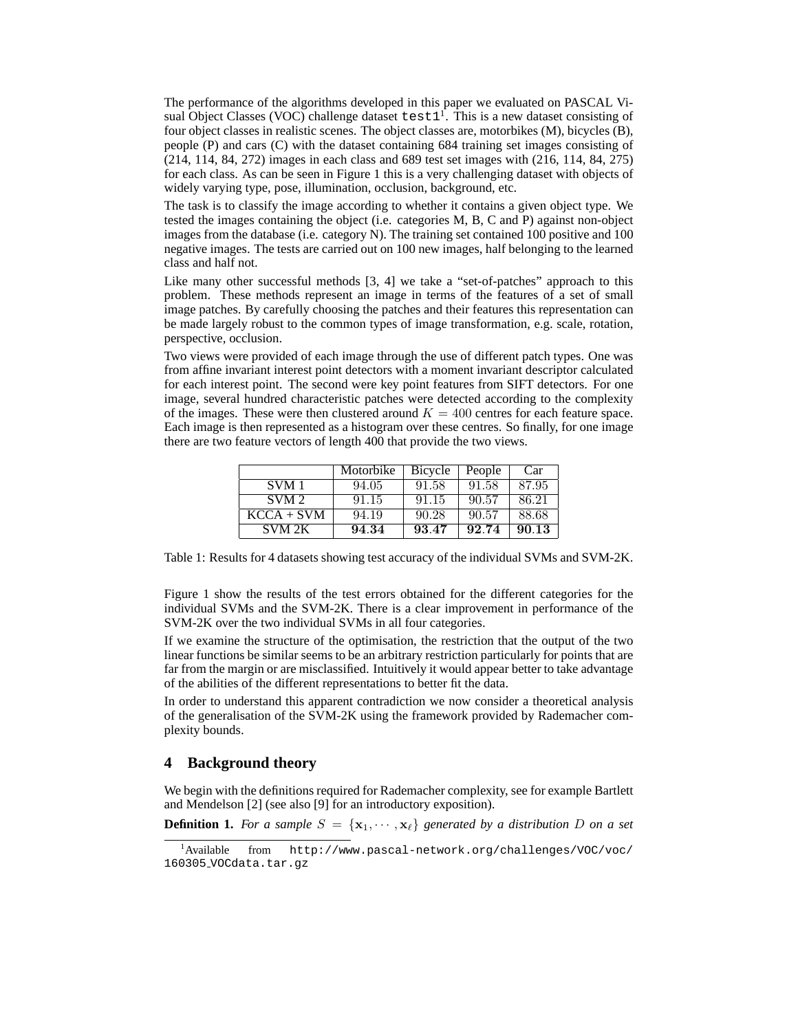The performance of the algorithms developed in this paper we evaluated on PASCAL Visual Object Classes (VOC) challenge dataset  $\text{test1}^1$ . This is a new dataset consisting of four object classes in realistic scenes. The object classes are, motorbikes (M), bicycles (B), people (P) and cars (C) with the dataset containing 684 training set images consisting of (214, 114, 84, 272) images in each class and 689 test set images with (216, 114, 84, 275) for each class. As can be seen in Figure 1 this is a very challenging dataset with objects of widely varying type, pose, illumination, occlusion, background, etc.

The task is to classify the image according to whether it contains a given object type. We tested the images containing the object (i.e. categories M, B, C and P) against non-object images from the database (i.e. category N). The training set contained 100 positive and 100 negative images. The tests are carried out on 100 new images, half belonging to the learned class and half not.

Like many other successful methods [3, 4] we take a "set-of-patches" approach to this problem. These methods represent an image in terms of the features of a set of small image patches. By carefully choosing the patches and their features this representation can be made largely robust to the common types of image transformation, e.g. scale, rotation, perspective, occlusion.

Two views were provided of each image through the use of different patch types. One was from affine invariant interest point detectors with a moment invariant descriptor calculated for each interest point. The second were key point features from SIFT detectors. For one image, several hundred characteristic patches were detected according to the complexity of the images. These were then clustered around  $K = 400$  centres for each feature space. Each image is then represented as a histogram over these centres. So finally, for one image there are two feature vectors of length 400 that provide the two views.

|                  | Motorbike | Bicycle | People | Car   |
|------------------|-----------|---------|--------|-------|
| SVM <sub>1</sub> | 94.05     | 91.58   | 91.58  | 87.95 |
| SVM <sub>2</sub> | 91.15     | 91.15   | 90.57  | 86.21 |
| $KCCA + SVM$     | 94.19     | 90.28   | 90.57  | 88.68 |
| SVM 2K           | 94.34     | 93.47   | 92.74  | 90.13 |

Table 1: Results for 4 datasets showing test accuracy of the individual SVMs and SVM-2K.

Figure 1 show the results of the test errors obtained for the different categories for the individual SVMs and the SVM-2K. There is a clear improvement in performance of the SVM-2K over the two individual SVMs in all four categories.

If we examine the structure of the optimisation, the restriction that the output of the two linear functions be similar seems to be an arbitrary restriction particularly for points that are far from the margin or are misclassified. Intuitively it would appear better to take advantage of the abilities of the different representations to better fit the data.

In order to understand this apparent contradiction we now consider a theoretical analysis of the generalisation of the SVM-2K using the framework provided by Rademacher complexity bounds.

# **4 Background theory**

We begin with the definitions required for Rademacher complexity, see for example Bartlett and Mendelson [2] (see also [9] for an introductory exposition).

**Definition 1.** For a sample  $S = {\mathbf{x}_1, \cdots, \mathbf{x}_{\ell}}$  generated by a distribution D on a set

<sup>1</sup>Available from http://www.pascal-network.org/challenges/VOC/voc/ 160305 VOCdata.tar.gz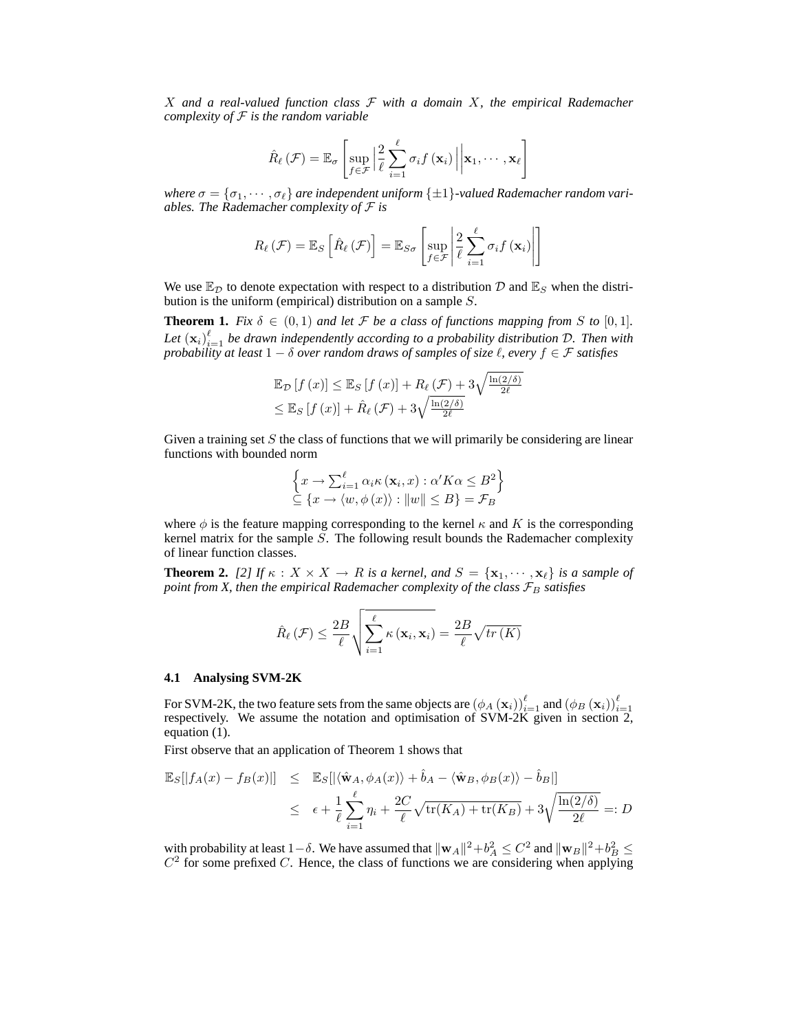X *and a real-valued function class* F *with a domain* X*, the empirical Rademacher complexity of* F *is the random variable*

$$
\hat{R}_{\ell}(\mathcal{F}) = \mathbb{E}_{\sigma}\left[\sup_{f \in \mathcal{F}}\left|\frac{2}{\ell}\sum_{i=1}^{\ell} \sigma_{i} f\left(\mathbf{x}_{i}\right)\right|\middle|\mathbf{x}_{1}, \cdots, \mathbf{x}_{\ell}\right]
$$

*where*  $\sigma = {\sigma_1, \cdots, \sigma_\ell}$  *are independent uniform*  $\{\pm 1\}$ -valued Rademacher random vari*ables. The* Rademacher complexity *of* F *is*

$$
R_{\ell}(\mathcal{F}) = \mathbb{E}_{S}\left[\hat{R}_{\ell}(\mathcal{F})\right] = \mathbb{E}_{S\sigma}\left[\sup_{f \in \mathcal{F}}\left|\frac{2}{\ell}\sum_{i=1}^{\ell} \sigma_{i} f\left(\mathbf{x}_{i}\right)\right|\right]
$$

We use  $\mathbb{E}_{\mathcal{D}}$  to denote expectation with respect to a distribution  $\mathcal{D}$  and  $\mathbb{E}_{S}$  when the distribution is the uniform (empirical) distribution on a sample S.

**Theorem 1.** *Fix*  $\delta \in (0,1)$  *and let*  $\mathcal F$  *be a class of functions mapping from*  $S$  *to*  $[0,1]$ *.* Let  $(\mathbf{x}_i)_{i=1}^{\ell}$  be drawn independently according to a probability distribution D. Then with *probability at least*  $1 - \delta$  *over random draws of samples of size*  $\ell$ *, every*  $f \in \mathcal{F}$  *satisfies* 

$$
\mathbb{E}_{\mathcal{D}}\left[f\left(x\right)\right] \leq \mathbb{E}_{S}\left[f\left(x\right)\right] + R_{\ell}\left(\mathcal{F}\right) + 3\sqrt{\frac{\ln\left(2/\delta\right)}{2\ell}} \\
\leq \mathbb{E}_{S}\left[f\left(x\right)\right] + \hat{R}_{\ell}\left(\mathcal{F}\right) + 3\sqrt{\frac{\ln\left(2/\delta\right)}{2\ell}}\n\end{aligned}
$$

Given a training set  $S$  the class of functions that we will primarily be considering are linear functions with bounded norm

$$
\left\{ x \to \sum_{i=1}^{\ell} \alpha_i \kappa(\mathbf{x}_i, x) : \alpha' K \alpha \le B^2 \right\}
$$
  

$$
\subseteq \left\{ x \to \langle w, \phi(x) \rangle : ||w|| \le B \right\} = \mathcal{F}_B
$$

where  $\phi$  is the feature mapping corresponding to the kernel  $\kappa$  and  $K$  is the corresponding kernel matrix for the sample S. The following result bounds the Rademacher complexity of linear function classes.

**Theorem 2.** [2] If  $\kappa : X \times X \to R$  *is a kernel, and*  $S = {\mathbf{x}_1, \cdots, \mathbf{x}_\ell}$  *is a sample of point from X, then the empirical Rademacher complexity of the class*  $\mathcal{F}_B$  *satisfies* 

$$
\hat{R}_{\ell}(\mathcal{F}) \leq \frac{2B}{\ell} \sqrt{\sum_{i=1}^{\ell} \kappa(\mathbf{x}_i, \mathbf{x}_i)} = \frac{2B}{\ell} \sqrt{tr(K)}
$$

#### **4.1 Analysing SVM-2K**

For SVM-2K, the two feature sets from the same objects are  $(\phi_A(\mathbf{x}_i))_{i=1}^{\ell}$  and  $(\phi_B(\mathbf{x}_i))_{i=1}^{\ell}$  respectively. We assume the notation and optimisation of SVM-2K given in section 2, equation (1).

First observe that an application of Theorem 1 shows that

$$
\mathbb{E}_{S}[|f_{A}(x) - f_{B}(x)|] \leq \mathbb{E}_{S}[|\langle \hat{\mathbf{w}}_{A}, \phi_{A}(x) \rangle + \hat{b}_{A} - \langle \hat{\mathbf{w}}_{B}, \phi_{B}(x) \rangle - \hat{b}_{B}|]
$$
  

$$
\leq \epsilon + \frac{1}{\ell} \sum_{i=1}^{\ell} \eta_{i} + \frac{2C}{\ell} \sqrt{\text{tr}(K_{A}) + \text{tr}(K_{B})} + 3\sqrt{\frac{\ln(2/\delta)}{2\ell}} =: D
$$

with probability at least  $1-\delta$ . We have assumed that  $||\mathbf{w}_A||^2 + b_A^2 \leq C^2$  and  $||\mathbf{w}_B||^2 + b_B^2 \leq C$  $C<sup>2</sup>$  for some prefixed C. Hence, the class of functions we are considering when applying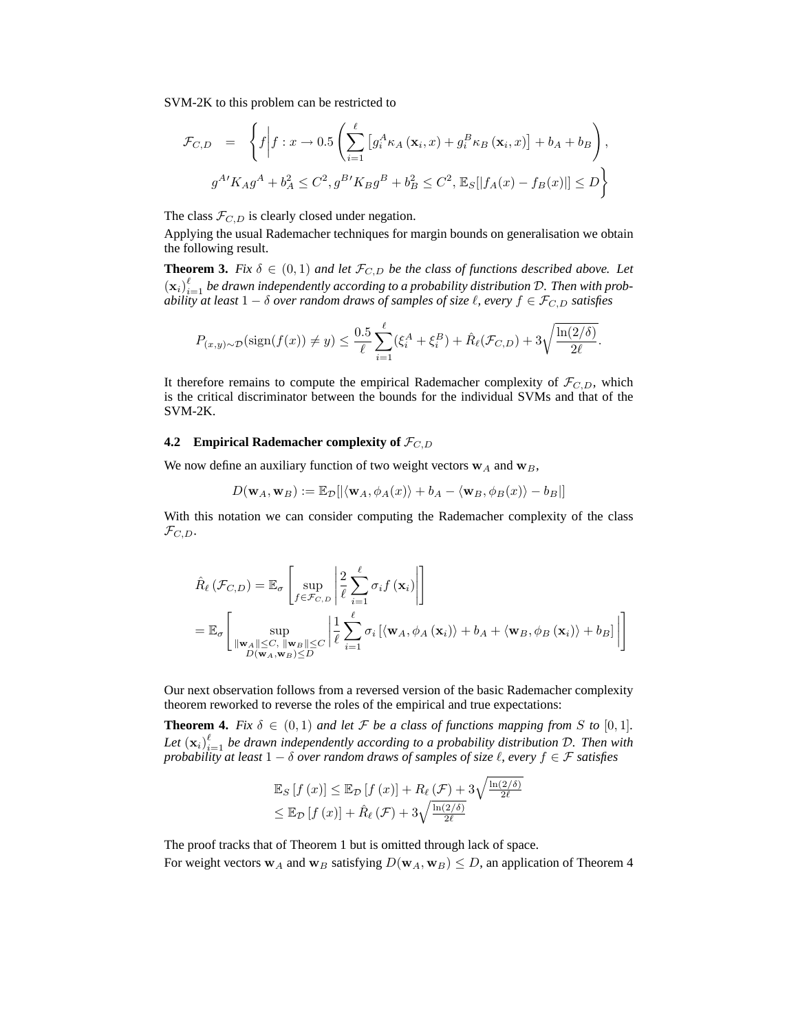SVM-2K to this problem can be restricted to

$$
\mathcal{F}_{C,D} = \left\{ f \middle| f : x \to 0.5 \left( \sum_{i=1}^{\ell} \left[ g_i^A \kappa_A (\mathbf{x}_i, x) + g_i^B \kappa_B (\mathbf{x}_i, x) \right] + b_A + b_B \right), \right\}
$$
\n
$$
g^{A'} K_A g^A + b_A^2 \le C^2, g^{B'} K_B g^B + b_B^2 \le C^2, \mathbb{E}_S [ |f_A(x) - f_B(x)| ] \le D \right\}
$$

The class  $\mathcal{F}_{C,D}$  is clearly closed under negation.

Applying the usual Rademacher techniques for margin bounds on generalisation we obtain the following result.

**Theorem 3.** *Fix*  $\delta \in (0,1)$  *and let*  $\mathcal{F}_{C,D}$  *be the class of functions described above. Let*  $(\mathbf{x}_i)_{i=1}^{\ell}$  be drawn independently according to a probability distribution D. Then with prob*ability at least* 1 − δ *over random draws of samples of size* ℓ*, every* f ∈ FC,D *satisfies*

$$
P_{(x,y)\sim\mathcal{D}}(\text{sign}(f(x)) \neq y) \leq \frac{0.5}{\ell} \sum_{i=1}^{\ell} (\xi_i^A + \xi_i^B) + \hat{R}_{\ell}(\mathcal{F}_{C,D}) + 3\sqrt{\frac{\ln(2/\delta)}{2\ell}}.
$$

It therefore remains to compute the empirical Rademacher complexity of  $\mathcal{F}_{C,D}$ , which is the critical discriminator between the bounds for the individual SVMs and that of the SVM-2K.

### **4.2 Empirical Rademacher complexity of**  $\mathcal{F}_{C,D}$

We now define an auxiliary function of two weight vectors  $w_A$  and  $w_B$ ,

$$
D(\mathbf{w}_A, \mathbf{w}_B) := \mathbb{E}_{\mathcal{D}}[|\langle \mathbf{w}_A, \phi_A(x) \rangle + b_A - \langle \mathbf{w}_B, \phi_B(x) \rangle - b_B|]
$$

With this notation we can consider computing the Rademacher complexity of the class  $\mathcal{F}_{C,D}$ .

$$
\hat{R}_{\ell}(\mathcal{F}_{C,D}) = \mathbb{E}_{\sigma} \left[ \sup_{f \in \mathcal{F}_{C,D}} \left| \frac{2}{\ell} \sum_{i=1}^{\ell} \sigma_i f(\mathbf{x}_i) \right| \right]
$$
\n
$$
= \mathbb{E}_{\sigma} \left[ \sup_{\substack{\|\mathbf{w}_A\| \le C, \ \|\mathbf{w}_B\| \le C \\ D(\mathbf{w}_A, \mathbf{w}_B) \le D}} \left| \frac{1}{\ell} \sum_{i=1}^{\ell} \sigma_i \left[ \langle \mathbf{w}_A, \phi_A(\mathbf{x}_i) \rangle + b_A + \langle \mathbf{w}_B, \phi_B(\mathbf{x}_i) \rangle + b_B \right] \right| \right]
$$

Our next observation follows from a reversed version of the basic Rademacher complexity theorem reworked to reverse the roles of the empirical and true expectations:

**Theorem 4.** *Fix*  $\delta \in (0,1)$  *and let F be a class of functions mapping from S to* [0, 1]*.* Let  $(\mathbf{x}_i)_{i=1}^{\ell}$  be drawn independently according to a probability distribution D. Then with *probability at least* 1 − δ *over random draws of samples of size* ℓ*, every* f ∈ F *satisfies*

$$
\mathbb{E}_{S}[f(x)] \leq \mathbb{E}_{\mathcal{D}}[f(x)] + R_{\ell}(\mathcal{F}) + 3\sqrt{\frac{\ln(2/\delta)}{2\ell}} \leq \mathbb{E}_{\mathcal{D}}[f(x)] + \hat{R}_{\ell}(\mathcal{F}) + 3\sqrt{\frac{\ln(2/\delta)}{2\ell}}.
$$

The proof tracks that of Theorem 1 but is omitted through lack of space. For weight vectors  $w_A$  and  $w_B$  satisfying  $D(w_A, w_B) \le D$ , an application of Theorem 4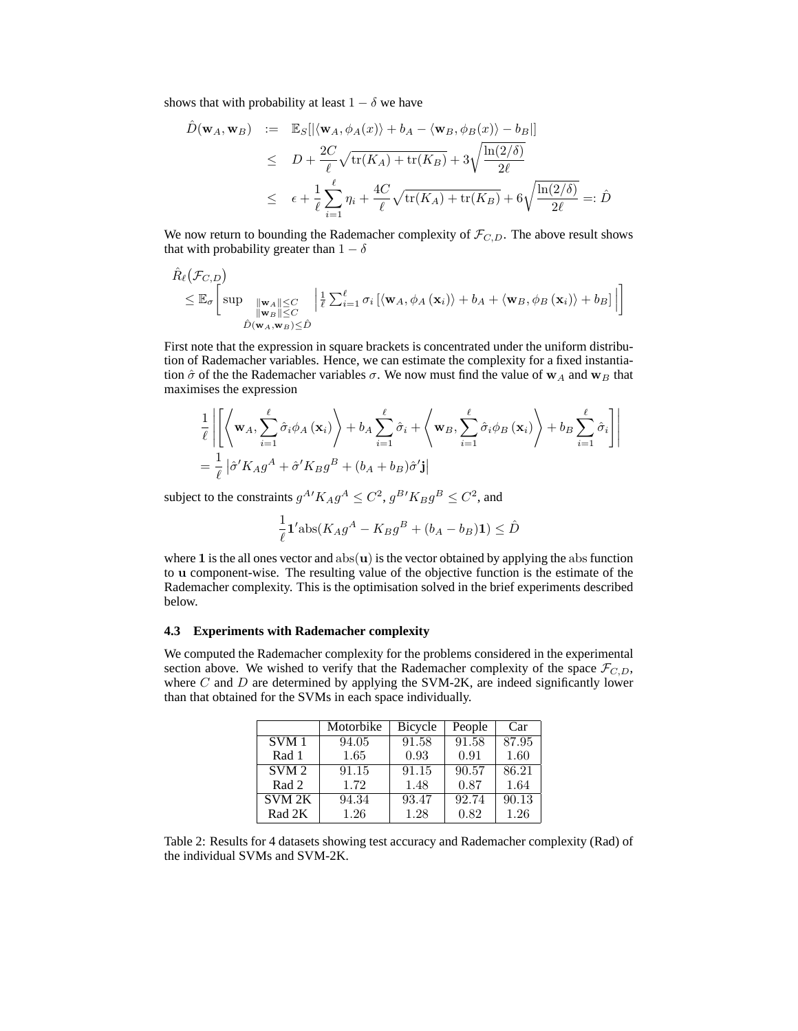shows that with probability at least  $1 - \delta$  we have

$$
\hat{D}(\mathbf{w}_A, \mathbf{w}_B) := \mathbb{E}_S[|\langle \mathbf{w}_A, \phi_A(x) \rangle + b_A - \langle \mathbf{w}_B, \phi_B(x) \rangle - b_B|]
$$
\n
$$
\leq D + \frac{2C}{\ell} \sqrt{\text{tr}(K_A) + \text{tr}(K_B)} + 3\sqrt{\frac{\ln(2/\delta)}{2\ell}}
$$
\n
$$
\leq \epsilon + \frac{1}{\ell} \sum_{i=1}^{\ell} \eta_i + \frac{4C}{\ell} \sqrt{\text{tr}(K_A) + \text{tr}(K_B)} + 6\sqrt{\frac{\ln(2/\delta)}{2\ell}} =: \hat{D}
$$

We now return to bounding the Rademacher complexity of  $\mathcal{F}_{C,D}$ . The above result shows that with probability greater than  $1 - \delta$ 

$$
\hat{R}_{\ell}(\mathcal{F}_{C,D})\n\leq \mathbb{E}_{\sigma}\left[\sup_{\substack{\|\mathbf{w}_{A}\| \leq C \\ \hat{D}(\mathbf{w}_{A}, \mathbf{w}_{B}) \leq \hat{D}}}\left|\frac{1}{\ell}\sum_{i=1}^{\ell} \sigma_{i}\left[\langle \mathbf{w}_{A}, \phi_{A}\left(\mathbf{x}_{i}\right) \rangle + b_{A} + \langle \mathbf{w}_{B}, \phi_{B}\left(\mathbf{x}_{i}\right) \rangle + b_{B}\right]\right|\right]
$$

First note that the expression in square brackets is concentrated under the uniform distribution of Rademacher variables. Hence, we can estimate the complexity for a fixed instantiation  $\hat{\sigma}$  of the the Rademacher variables  $\sigma$ . We now must find the value of  $w_A$  and  $w_B$  that maximises the expression

$$
\frac{1}{\ell} \left| \left[ \left\langle \mathbf{w}_A, \sum_{i=1}^{\ell} \hat{\sigma}_i \phi_A (\mathbf{x}_i) \right\rangle + b_A \sum_{i=1}^{\ell} \hat{\sigma}_i + \left\langle \mathbf{w}_B, \sum_{i=1}^{\ell} \hat{\sigma}_i \phi_B (\mathbf{x}_i) \right\rangle + b_B \sum_{i=1}^{\ell} \hat{\sigma}_i \right] \right|
$$
  
= 
$$
\frac{1}{\ell} \left| \hat{\sigma}' K_A g^A + \hat{\sigma}' K_B g^B + (b_A + b_B) \hat{\sigma}' \mathbf{j} \right|
$$

subject to the constraints  $g^{A'}K_Ag^A \leq C^2$ ,  $g^{B'}K_Bg^B \leq C^2$ , and

$$
\frac{1}{\ell}\mathbf{1}'\mathrm{abs}(K_A g^A - K_B g^B + (b_A - b_B)\mathbf{1}) \leq \hat{D}
$$

where 1 is the all ones vector and  $abs(u)$  is the vector obtained by applying the abs function to u component-wise. The resulting value of the objective function is the estimate of the Rademacher complexity. This is the optimisation solved in the brief experiments described below.

#### **4.3 Experiments with Rademacher complexity**

We computed the Rademacher complexity for the problems considered in the experimental section above. We wished to verify that the Rademacher complexity of the space  $\mathcal{F}_{C,D}$ , where  $C$  and  $D$  are determined by applying the SVM-2K, are indeed significantly lower than that obtained for the SVMs in each space individually.

|                   | Motorbike | <b>Bicycle</b> | People | Car   |
|-------------------|-----------|----------------|--------|-------|
| SVM <sub>1</sub>  | 94.05     | 91.58          | 91.58  | 87.95 |
| Rad 1             | 1.65      | 0.93           | 0.91   | 1.60  |
| SVM2              | 91.15     | 91.15          | 90.57  | 86.21 |
| Rad 2             | 1.72      | 1.48           | 0.87   | 1.64  |
| SVM <sub>2K</sub> | 94.34     | 93.47          | 92.74  | 90.13 |
| Rad 2K            | 1.26      | 1.28           | 0.82   | 1.26  |

Table 2: Results for 4 datasets showing test accuracy and Rademacher complexity (Rad) of the individual SVMs and SVM-2K.